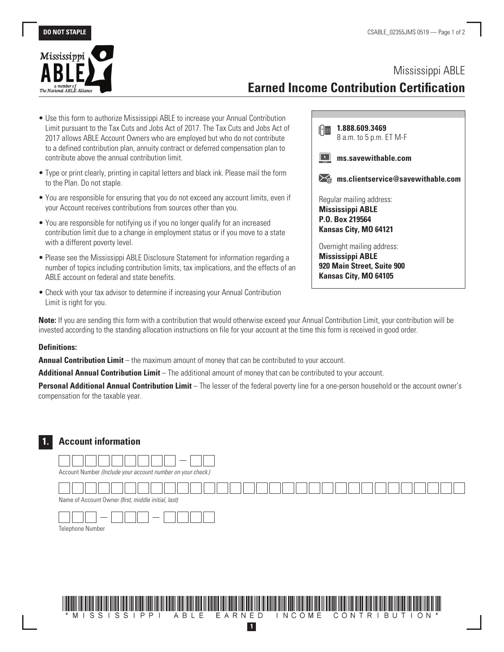

# Mississippi ABLE **Earned Income Contribution Certification**

- Use this form to authorize Mississippi ABLE to increase your Annual Contribution Limit pursuant to the Tax Cuts and Jobs Act of 2017. The Tax Cuts and Jobs Act of 2017 allows ABLE Account Owners who are employed but who do not contribute to a defined contribution plan, annuity contract or deferred compensation plan to contribute above the annual contribution limit.
- Type or print clearly, printing in capital letters and black ink. Please mail the form to the Plan. Do not staple.
- You are responsible for ensuring that you do not exceed any account limits, even if your Account receives contributions from sources other than you.
- You are responsible for notifying us if you no longer qualify for an increased contribution limit due to a change in employment status or if you move to a state with a different poverty level.
- Please see the Mississippi ABLE Disclosure Statement for information regarding a number of topics including contribution limits, tax implications, and the effects of an ABLE account on federal and state benefits.
- Check with your tax advisor to determine if increasing your Annual Contribution Limit is right for you.

| 1.888.609.3469                             |
|--------------------------------------------|
| 8 a.m. to 5 p.m. ET M-F                    |
| ms.savewithable.com                        |
| ms.clientservice@savewithable.com          |
| Regular mailing address:                   |
| <b>Mississippi ABLE</b><br>P.O. Box 219564 |
| Kansas City, MO 64121                      |
| Overnight mailing address:                 |
| <b>Mississippi ABLE</b>                    |
| 920 Main Street, Suite 900                 |
| Kansas City, MO 64105                      |

**Note:** If you are sending this form with a contribution that would otherwise exceed your Annual Contribution Limit, your contribution will be invested according to the standing allocation instructions on file for your account at the time this form is received in good order.

#### **Definitions:**

**Annual Contribution Limit** – the maximum amount of money that can be contributed to your account.

**Additional Annual Contribution Limit** – The additional amount of money that can be contributed to your account.

**Personal Additional Annual Contribution Limit** – The lesser of the federal poverty line for a one-person household or the account owner's compensation for the taxable year.

## **1. Account information**





**1**